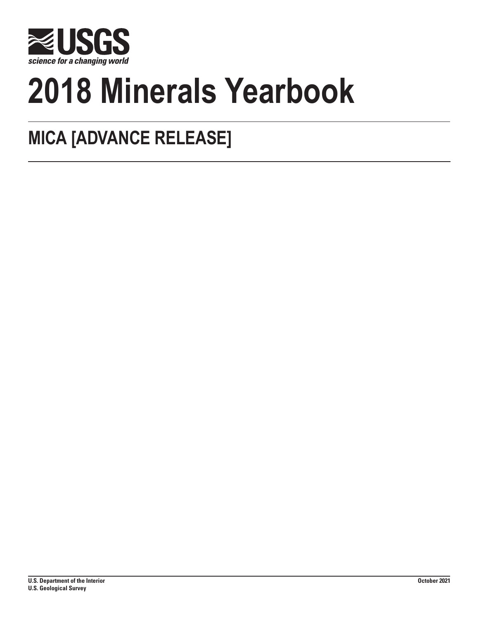

# **2018 Minerals Yearbook**

## **MICA [ADVANCE RELEASE]**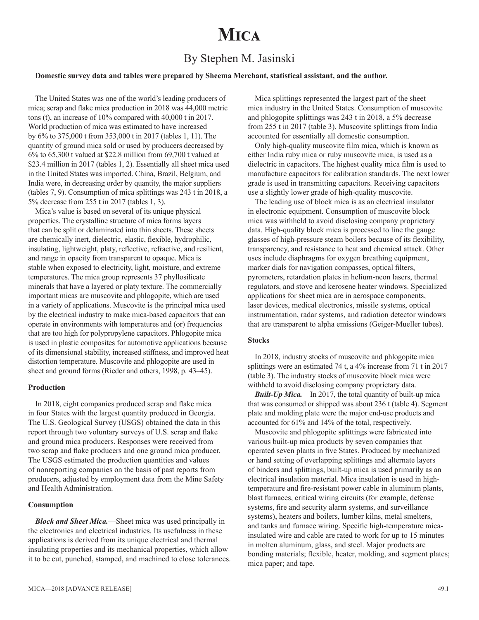## **Mica**

### By Stephen M. Jasinski

#### **Domestic survey data and tables were prepared by Sheema Merchant, statistical assistant, and the author.**

The United States was one of the world's leading producers of mica; scrap and flake mica production in 2018 was 44,000 metric tons (t), an increase of 10% compared with 40,000 t in 2017. World production of mica was estimated to have increased by 6% to 375,000 t from 353,000 t in 2017 (tables 1, 11). The quantity of ground mica sold or used by producers decreased by 6% to 65,300 t valued at \$22.8 million from 69,700 t valued at \$23.4 million in 2017 (tables 1, 2). Essentially all sheet mica used in the United States was imported. China, Brazil, Belgium, and India were, in decreasing order by quantity, the major suppliers (tables 7, 9). Consumption of mica splittings was 243 t in 2018, a 5% decrease from 255 t in 2017 (tables 1, 3).

Mica's value is based on several of its unique physical properties. The crystalline structure of mica forms layers that can be split or delaminated into thin sheets. These sheets are chemically inert, dielectric, elastic, flexible, hydrophilic, insulating, lightweight, platy, reflective, refractive, and resilient, and range in opacity from transparent to opaque. Mica is stable when exposed to electricity, light, moisture, and extreme temperatures. The mica group represents 37 phyllosilicate minerals that have a layered or platy texture. The commercially important micas are muscovite and phlogopite, which are used in a variety of applications. Muscovite is the principal mica used by the electrical industry to make mica-based capacitors that can operate in environments with temperatures and (or) frequencies that are too high for polypropylene capacitors. Phlogopite mica is used in plastic composites for automotive applications because of its dimensional stability, increased stiffness, and improved heat distortion temperature. Muscovite and phlogopite are used in sheet and ground forms (Rieder and others, 1998, p. 43–45).

#### **Production**

In 2018, eight companies produced scrap and flake mica in four States with the largest quantity produced in Georgia. The U.S. Geological Survey (USGS) obtained the data in this report through two voluntary surveys of U.S. scrap and flake and ground mica producers. Responses were received from two scrap and flake producers and one ground mica producer. The USGS estimated the production quantities and values of nonreporting companies on the basis of past reports from producers, adjusted by employment data from the Mine Safety and Health Administration.

#### **Consumption**

*Block and Sheet Mica.*—Sheet mica was used principally in the electronics and electrical industries. Its usefulness in these applications is derived from its unique electrical and thermal insulating properties and its mechanical properties, which allow it to be cut, punched, stamped, and machined to close tolerances.

Mica splittings represented the largest part of the sheet mica industry in the United States. Consumption of muscovite and phlogopite splittings was 243 t in 2018, a 5% decrease from 255 t in 2017 (table 3). Muscovite splittings from India accounted for essentially all domestic consumption.

Only high-quality muscovite film mica, which is known as either India ruby mica or ruby muscovite mica, is used as a dielectric in capacitors. The highest quality mica film is used to manufacture capacitors for calibration standards. The next lower grade is used in transmitting capacitors. Receiving capacitors use a slightly lower grade of high-quality muscovite.

The leading use of block mica is as an electrical insulator in electronic equipment. Consumption of muscovite block mica was withheld to avoid disclosing company proprietary data. High-quality block mica is processed to line the gauge glasses of high-pressure steam boilers because of its flexibility, transparency, and resistance to heat and chemical attack. Other uses include diaphragms for oxygen breathing equipment, marker dials for navigation compasses, optical filters, pyrometers, retardation plates in helium-neon lasers, thermal regulators, and stove and kerosene heater windows. Specialized applications for sheet mica are in aerospace components, laser devices, medical electronics, missile systems, optical instrumentation, radar systems, and radiation detector windows that are transparent to alpha emissions (Geiger-Mueller tubes).

#### **Stocks**

In 2018, industry stocks of muscovite and phlogopite mica splittings were an estimated 74 t, a 4% increase from 71 t in 2017 (table 3). The industry stocks of muscovite block mica were withheld to avoid disclosing company proprietary data.

*Built-Up Mica.*—In 2017, the total quantity of built-up mica that was consumed or shipped was about 236 t (table 4). Segment plate and molding plate were the major end-use products and accounted for 61% and 14% of the total, respectively.

Muscovite and phlogopite splittings were fabricated into various built-up mica products by seven companies that operated seven plants in five States. Produced by mechanized or hand setting of overlapping splittings and alternate layers of binders and splittings, built-up mica is used primarily as an electrical insulation material. Mica insulation is used in hightemperature and fire-resistant power cable in aluminum plants, blast furnaces, critical wiring circuits (for example, defense systems, fire and security alarm systems, and surveillance systems), heaters and boilers, lumber kilns, metal smelters, and tanks and furnace wiring. Specific high-temperature micainsulated wire and cable are rated to work for up to 15 minutes in molten aluminum, glass, and steel. Major products are bonding materials; flexible, heater, molding, and segment plates; mica paper; and tape.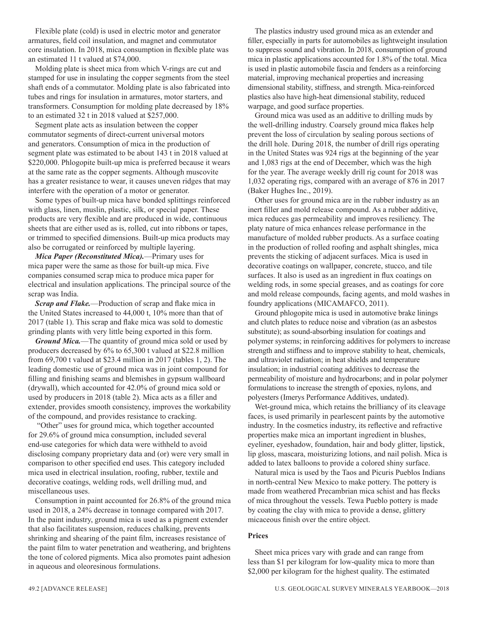Flexible plate (cold) is used in electric motor and generator armatures, field coil insulation, and magnet and commutator core insulation. In 2018, mica consumption in flexible plate was an estimated 11 t valued at \$74,000.

Molding plate is sheet mica from which V-rings are cut and stamped for use in insulating the copper segments from the steel shaft ends of a commutator. Molding plate is also fabricated into tubes and rings for insulation in armatures, motor starters, and transformers. Consumption for molding plate decreased by 18% to an estimated 32 t in 2018 valued at \$257,000.

Segment plate acts as insulation between the copper commutator segments of direct-current universal motors and generators. Consumption of mica in the production of segment plate was estimated to be about 143 t in 2018 valued at \$220,000. Phlogopite built-up mica is preferred because it wears at the same rate as the copper segments. Although muscovite has a greater resistance to wear, it causes uneven ridges that may interfere with the operation of a motor or generator.

Some types of built-up mica have bonded splittings reinforced with glass, linen, muslin, plastic, silk, or special paper. These products are very flexible and are produced in wide, continuous sheets that are either used as is, rolled, cut into ribbons or tapes, or trimmed to specified dimensions. Built-up mica products may also be corrugated or reinforced by multiple layering.

*Mica Paper (Reconstituted Mica).*—Primary uses for mica paper were the same as those for built-up mica. Five companies consumed scrap mica to produce mica paper for electrical and insulation applications. The principal source of the scrap was India.

*Scrap and Flake.*—Production of scrap and flake mica in the United States increased to 44,000 t, 10% more than that of 2017 (table 1). This scrap and flake mica was sold to domestic grinding plants with very little being exported in this form.

*Ground Mica.*—The quantity of ground mica sold or used by producers decreased by 6% to 65,300 t valued at \$22.8 million from 69,700 t valued at \$23.4 million in 2017 (tables 1, 2). The leading domestic use of ground mica was in joint compound for filling and finishing seams and blemishes in gypsum wallboard (drywall), which accounted for 42.0% of ground mica sold or used by producers in 2018 (table 2). Mica acts as a filler and extender, provides smooth consistency, improves the workability of the compound, and provides resistance to cracking.

 "Other" uses for ground mica, which together accounted for 29.6% of ground mica consumption, included several end-use categories for which data were withheld to avoid disclosing company proprietary data and (or) were very small in comparison to other specified end uses. This category included mica used in electrical insulation, roofing, rubber, textile and decorative coatings, welding rods, well drilling mud, and miscellaneous uses.

Consumption in paint accounted for 26.8% of the ground mica used in 2018, a 24% decrease in tonnage compared with 2017. In the paint industry, ground mica is used as a pigment extender that also facilitates suspension, reduces chalking, prevents shrinking and shearing of the paint film, increases resistance of the paint film to water penetration and weathering, and brightens the tone of colored pigments. Mica also promotes paint adhesion in aqueous and oleoresinous formulations.

The plastics industry used ground mica as an extender and filler, especially in parts for automobiles as lightweight insulation to suppress sound and vibration. In 2018, consumption of ground mica in plastic applications accounted for 1.8% of the total. Mica is used in plastic automobile fascia and fenders as a reinforcing material, improving mechanical properties and increasing dimensional stability, stiffness, and strength. Mica-reinforced plastics also have high-heat dimensional stability, reduced warpage, and good surface properties.

Ground mica was used as an additive to drilling muds by the well-drilling industry. Coarsely ground mica flakes help prevent the loss of circulation by sealing porous sections of the drill hole. During 2018, the number of drill rigs operating in the United States was 924 rigs at the beginning of the year and 1,083 rigs at the end of December, which was the high for the year. The average weekly drill rig count for 2018 was 1,032 operating rigs, compared with an average of 876 in 2017 (Baker Hughes Inc., 2019).

Other uses for ground mica are in the rubber industry as an inert filler and mold release compound. As a rubber additive, mica reduces gas permeability and improves resiliency. The platy nature of mica enhances release performance in the manufacture of molded rubber products. As a surface coating in the production of rolled roofing and asphalt shingles, mica prevents the sticking of adjacent surfaces. Mica is used in decorative coatings on wallpaper, concrete, stucco, and tile surfaces. It also is used as an ingredient in flux coatings on welding rods, in some special greases, and as coatings for core and mold release compounds, facing agents, and mold washes in foundry applications (MICAMAFCO, 2011).

Ground phlogopite mica is used in automotive brake linings and clutch plates to reduce noise and vibration (as an asbestos substitute); as sound-absorbing insulation for coatings and polymer systems; in reinforcing additives for polymers to increase strength and stiffness and to improve stability to heat, chemicals, and ultraviolet radiation; in heat shields and temperature insulation; in industrial coating additives to decrease the permeability of moisture and hydrocarbons; and in polar polymer formulations to increase the strength of epoxies, nylons, and polyesters (Imerys Performance Additives, undated).

Wet-ground mica, which retains the brilliancy of its cleavage faces, is used primarily in pearlescent paints by the automotive industry. In the cosmetics industry, its reflective and refractive properties make mica an important ingredient in blushes, eyeliner, eyeshadow, foundation, hair and body glitter, lipstick, lip gloss, mascara, moisturizing lotions, and nail polish. Mica is added to latex balloons to provide a colored shiny surface.

Natural mica is used by the Taos and Picuris Pueblos Indians in north-central New Mexico to make pottery. The pottery is made from weathered Precambrian mica schist and has flecks of mica throughout the vessels. Tewa Pueblo pottery is made by coating the clay with mica to provide a dense, glittery micaceous finish over the entire object.

#### **Prices**

Sheet mica prices vary with grade and can range from less than \$1 per kilogram for low-quality mica to more than \$2,000 per kilogram for the highest quality. The estimated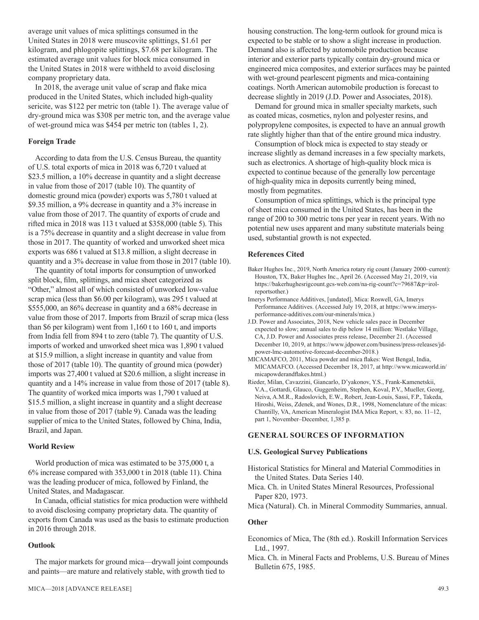average unit values of mica splittings consumed in the United States in 2018 were muscovite splittings, \$1.61 per kilogram, and phlogopite splittings, \$7.68 per kilogram. The estimated average unit values for block mica consumed in the United States in 2018 were withheld to avoid disclosing company proprietary data.

In 2018, the average unit value of scrap and flake mica produced in the United States, which included high-quality sericite, was \$122 per metric ton (table 1). The average value of dry-ground mica was \$308 per metric ton, and the average value of wet-ground mica was \$454 per metric ton (tables 1, 2).

#### **Foreign Trade**

According to data from the U.S. Census Bureau, the quantity of U.S. total exports of mica in 2018 was 6,720 t valued at \$23.5 million, a 10% decrease in quantity and a slight decrease in value from those of 2017 (table 10). The quantity of domestic ground mica (powder) exports was 5,780 t valued at \$9.35 million, a 9% decrease in quantity and a 3% increase in value from those of 2017. The quantity of exports of crude and rifted mica in 2018 was 113 t valued at \$358,000 (table 5). This is a 75% decrease in quantity and a slight decrease in value from those in 2017. The quantity of worked and unworked sheet mica exports was 686 t valued at \$13.8 million, a slight decrease in quantity and a 3% decrease in value from those in 2017 (table 10).

The quantity of total imports for consumption of unworked split block, film, splittings, and mica sheet categorized as "Other," almost all of which consisted of unworked low-value scrap mica (less than \$6.00 per kilogram), was 295 t valued at \$555,000, an 86% decrease in quantity and a 68% decrease in value from those of 2017. Imports from Brazil of scrap mica (less than \$6 per kilogram) went from 1,160 t to 160 t, and imports from India fell from 894 t to zero (table 7). The quantity of U.S. imports of worked and unworked sheet mica was 1,890 t valued at \$15.9 million, a slight increase in quantity and value from those of 2017 (table 10). The quantity of ground mica (powder) imports was 27,400 t valued at \$20.6 million, a slight increase in quantity and a 14% increase in value from those of 2017 (table 8). The quantity of worked mica imports was 1,790 t valued at \$15.5 million, a slight increase in quantity and a slight decrease in value from those of 2017 (table 9). Canada was the leading supplier of mica to the United States, followed by China, India, Brazil, and Japan.

#### **World Review**

World production of mica was estimated to be 375,000 t, a 6% increase compared with 353,000 t in 2018 (table 11). China was the leading producer of mica, followed by Finland, the United States, and Madagascar.

In Canada, official statistics for mica production were withheld to avoid disclosing company proprietary data. The quantity of exports from Canada was used as the basis to estimate production in 2016 through 2018.

#### **Outlook**

The major markets for ground mica—drywall joint compounds and paints—are mature and relatively stable, with growth tied to

housing construction. The long-term outlook for ground mica is expected to be stable or to show a slight increase in production. Demand also is affected by automobile production because interior and exterior parts typically contain dry-ground mica or engineered mica composites, and exterior surfaces may be painted with wet-ground pearlescent pigments and mica-containing coatings. North American automobile production is forecast to decrease slightly in 2019 (J.D. Power and Associates, 2018).

Demand for ground mica in smaller specialty markets, such as coated micas, cosmetics, nylon and polyester resins, and polypropylene composites, is expected to have an annual growth rate slightly higher than that of the entire ground mica industry.

Consumption of block mica is expected to stay steady or increase slightly as demand increases in a few specialty markets, such as electronics. A shortage of high-quality block mica is expected to continue because of the generally low percentage of high-quality mica in deposits currently being mined, mostly from pegmatites.

Consumption of mica splittings, which is the principal type of sheet mica consumed in the United States, has been in the range of 200 to 300 metric tons per year in recent years. With no potential new uses apparent and many substitute materials being used, substantial growth is not expected.

#### **References Cited**

- Baker Hughes Inc., 2019, North America rotary rig count (January 2000–current): Houston, TX, Baker Hughes Inc., April 26. (Accessed May 21, 2019, via https://bakerhughesrigcount.gcs-web.com/na-rig-count?c=79687&p=irolreportsother.)
- Imerys Performance Additives, [undated], Mica: Roswell, GA, Imerys Performance Additives. (Accessed July 19, 2018, at https://www.imerysperformance-additives.com/our-minerals/mica.)
- J.D. Power and Associates, 2018, New vehicle sales pace in December expected to slow; annual sales to dip below 14 million: Westlake Village, CA, J.D. Power and Associates press release, December 21. (Accessed December 10, 2019, at https://www.jdpower.com/business/press-releases/jdpower-lmc-automotive-forecast-december-2018.)
- MICAMAFCO, 2011, Mica powder and mica flakes: West Bengal, India, MICAMAFCO. (Accessed December 18, 2017, at http://www.micaworld.in/ micapowderandflakes.html.)
- Rieder, Milan, Cavazzini, Giancarlo, D'yakonov, Y.S., Frank-Kamenetskii, V.A., Gottardi, Glauco, Guggenheim, Stephen, Koval, P.V., Mueller, Georg, Neiva, A.M.R., Radoslovich, E.W., Robert, Jean-Louis, Sassi, F.P., Takeda, Hiroshi, Weiss, Zdenek, and Wones, D.R., 1998, Nomenclature of the micas: Chantilly, VA, American Mineralogist IMA Mica Report, v. 83, no. 11–12, part 1, November–December, 1,385 p.

#### **GENERAL SOURCES OF INFORMATION**

#### **U.S. Geological Survey Publications**

- Historical Statistics for Mineral and Material Commodities in the United States. Data Series 140.
- Mica. Ch. in United States Mineral Resources, Professional Paper 820, 1973.
- Mica (Natural). Ch. in Mineral Commodity Summaries, annual.

#### **Other**

- Economics of Mica, The (8th ed.). Roskill Information Services Ltd., 1997.
- Mica. Ch. in Mineral Facts and Problems, U.S. Bureau of Mines Bulletin 675, 1985.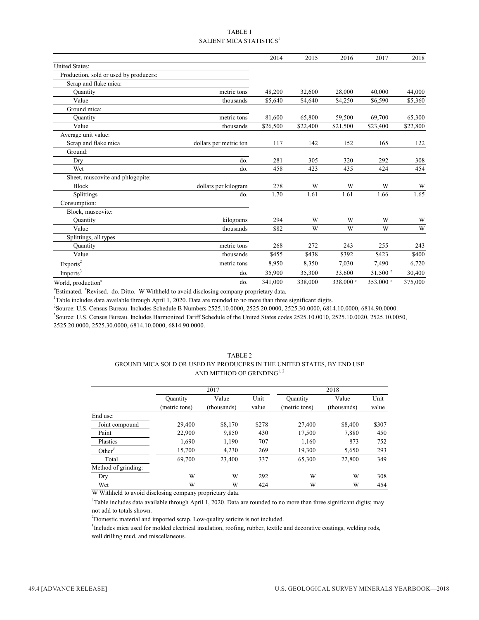#### TABLE 1 SALIENT MICA STATISTICS<sup>1</sup>

|                                        |                        | 2014     | 2015     | 2016      | 2017                  | 2018     |
|----------------------------------------|------------------------|----------|----------|-----------|-----------------------|----------|
| United States:                         |                        |          |          |           |                       |          |
| Production, sold or used by producers: |                        |          |          |           |                       |          |
| Scrap and flake mica:                  |                        |          |          |           |                       |          |
| Quantity                               | metric tons            | 48,200   | 32,600   | 28,000    | 40,000                | 44,000   |
| Value                                  | thousands              | \$5,640  | \$4,640  | \$4,250   | \$6,590               | \$5,360  |
| Ground mica:                           |                        |          |          |           |                       |          |
| Quantity                               | metric tons            | 81,600   | 65,800   | 59,500    | 69,700                | 65,300   |
| Value                                  | thousands              | \$26,500 | \$22,400 | \$21,500  | \$23,400              | \$22,800 |
| Average unit value:                    |                        |          |          |           |                       |          |
| Scrap and flake mica                   | dollars per metric ton | 117      | 142      | 152       | 165                   | 122      |
| Ground:                                |                        |          |          |           |                       |          |
| Dry                                    | do.                    | 281      | 305      | 320       | 292                   | 308      |
| Wet                                    | do.                    | 458      | 423      | 435       | 424                   | 454      |
| Sheet, muscovite and phlogopite:       |                        |          |          |           |                       |          |
| <b>Block</b>                           | dollars per kilogram   | 278      | W        | W         | W                     | W        |
| Splittings                             | do.                    | 1.70     | 1.61     | 1.61      | 1.66                  | 1.65     |
| Consumption:                           |                        |          |          |           |                       |          |
| Block, muscovite:                      |                        |          |          |           |                       |          |
| Quantity                               | kilograms              | 294      | W        | W         | W                     | W        |
| Value                                  | thousands              | \$82     | W        | W         | W                     | W        |
| Splittings, all types                  |                        |          |          |           |                       |          |
| Ouantity                               | metric tons            | 268      | 272      | 243       | 255                   | 243      |
| Value                                  | thousands              | \$455    | \$438    | \$392     | \$423                 | \$400    |
| Exports <sup>2</sup>                   | metric tons            | 8,950    | 8,350    | 7,030     | 7,490                 | 6,720    |
| Imports <sup>3</sup>                   | do.                    | 35,900   | 35,300   | 33,600    | $31,500$ <sup>r</sup> | 30,400   |
| World, production <sup>e</sup>         | do.                    | 341,000  | 338,000  | 338,000 r | 353,000 r             | 375,000  |

<sup>e</sup>Estimated. <sup>r</sup>Revised. do. Ditto. W Withheld to avoid disclosing company proprietary data.

<sup>1</sup>Table includes data available through April 1, 2020. Data are rounded to no more than three significant digits.

2 Source: U.S. Census Bureau. Includes Schedule B Numbers 2525.10.0000, 2525.20.0000, 2525.30.0000, 6814.10.0000, 6814.90.0000.

3 Source: U.S. Census Bureau. Includes Harmonized Tariff Schedule of the United States codes 2525.10.0010, 2525.10.0020, 2525.10.0050, 2525.20.0000, 2525.30.0000, 6814.10.0000, 6814.90.0000.

#### TABLE 2 GROUND MICA SOLD OR USED BY PRODUCERS IN THE UNITED STATES, BY END USE AND METHOD OF GRINDING<sup>1, 2</sup>

|                     |                 | 2017        |       | 2018          |             |       |  |
|---------------------|-----------------|-------------|-------|---------------|-------------|-------|--|
|                     | <b>Quantity</b> | Value       | Unit  | Quantity      | Value       | Unit  |  |
|                     | (metric tons)   | (thousands) | value | (metric tons) | (thousands) | value |  |
| End use:            |                 |             |       |               |             |       |  |
| Joint compound      | 29,400          | \$8,170     | \$278 | 27,400        | \$8,400     | \$307 |  |
| Paint               | 22,900          | 9,850       | 430   | 17,500        | 7,880       | 450   |  |
| Plastics            | 1,690           | 1,190       | 707   | 1,160         | 873         | 752   |  |
| Other <sup>3</sup>  | 15,700          | 4,230       | 269   | 19,300        | 5,650       | 293   |  |
| Total               | 69,700          | 23,400      | 337   | 65,300        | 22,800      | 349   |  |
| Method of grinding: |                 |             |       |               |             |       |  |
| Dry                 | W               | W           | 292   | W             | W           | 308   |  |
| Wet                 | W               | W           | 424   | W             | W           | 454   |  |
|                     |                 |             |       |               |             |       |  |

W Withheld to avoid disclosing company proprietary data.

<sup>1</sup>Table includes data available through April 1, 2020. Data are rounded to no more than three significant digits; may not add to totals shown.

 $2$ Domestic material and imported scrap. Low-quality sericite is not included.

<sup>3</sup>Includes mica used for molded electrical insulation, roofing, rubber, textile and decorative coatings, welding rods, well drilling mud, and miscellaneous.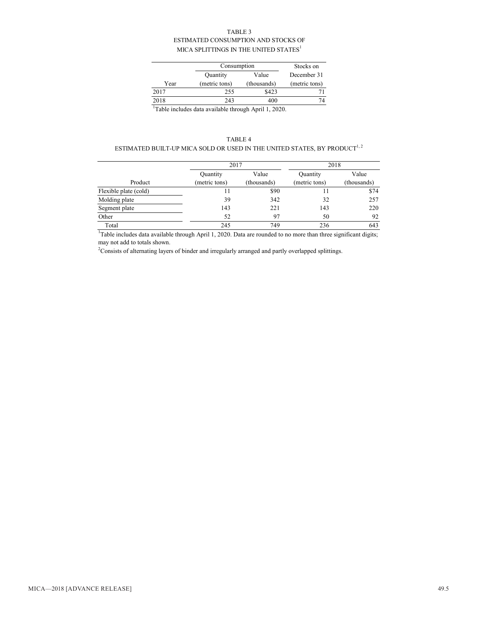#### TABLE 3 ESTIMATED CONSUMPTION AND STOCKS OF MICA SPLITTINGS IN THE UNITED STATES  $^{\rm l}$

|      | Consumption   | Stocks on   |               |
|------|---------------|-------------|---------------|
|      | Quantity      | Value       | December 31   |
| Year | (metric tons) | (thousands) | (metric tons) |
| 2017 | 255           | \$423       |               |
| 2018 | 243           | 400         | 7Δ            |

<sup>1</sup>Table includes data available through April 1, 2020.

#### TABLE 4

#### ESTIMATED BUILT-UP MICA SOLD OR USED IN THE UNITED STATES, BY PRODUCT  $^{1,\,2}$

|                       | 2017          |             | 2018          |                      |  |
|-----------------------|---------------|-------------|---------------|----------------------|--|
|                       | Quantity      | Value       | Quantity      | Value<br>(thousands) |  |
| Product               | (metric tons) | (thousands) | (metric tons) |                      |  |
| Flexible plate (cold) | 11            | \$90        | 11            | \$74                 |  |
| Molding plate         | 39            | 342         | 32            | 257                  |  |
| Segment plate         | 143           | 221         | 143           | 220                  |  |
| Other                 | 52            | 97          | 50            | 92                   |  |
| Total                 | 245           | 749         | 236           | 643                  |  |

<sup>1</sup>Table includes data available through April 1, 2020. Data are rounded to no more than three significant digits; may not add to totals shown.

 $2$ Consists of alternating layers of binder and irregularly arranged and partly overlapped splittings.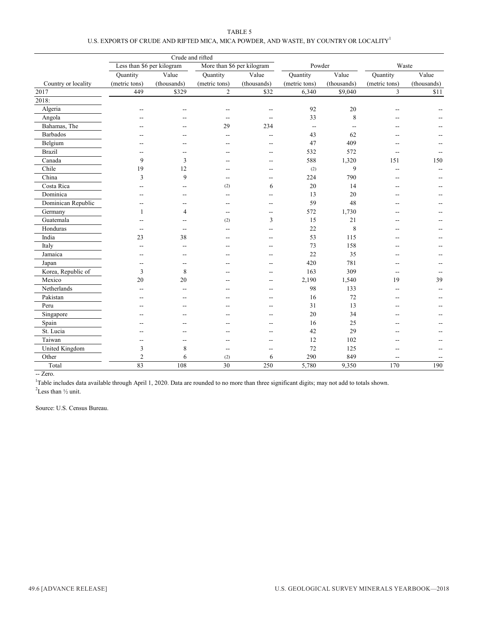| TABLE 5                                                                               |  |
|---------------------------------------------------------------------------------------|--|
| U.S. EXPORTS OF CRUDE AND RIFTED MICA. MICA POWDER, AND WASTE, BY COUNTRY OR LOCALITY |  |

|                     | Crude and rifted           |             |                |                            |                   |             |                |             |
|---------------------|----------------------------|-------------|----------------|----------------------------|-------------------|-------------|----------------|-------------|
|                     | Less than \$6 per kilogram |             |                | More than \$6 per kilogram | Powder            |             |                | Waste       |
|                     | Quantity                   | Value       | Quantity       | Value                      | Quantity          | Value       | Quantity       | Value       |
| Country or locality | (metric tons)              | (thousands) | (metric tons)  | (thousands)                | (metric tons)     | (thousands) | (metric tons)  | (thousands) |
| 2017                | 449                        | \$329       | $\overline{2}$ | \$32                       | 6,340             | \$9,040     | $\overline{3}$ | \$11        |
| 2018:               |                            |             |                |                            |                   |             |                |             |
| Algeria             |                            |             |                |                            | 92                | $20\,$      |                |             |
| Angola              |                            |             |                |                            | 33                | 8           |                |             |
| Bahamas, The        |                            |             | 29             | 234                        | $\qquad \qquad -$ |             |                |             |
| Barbados            |                            |             | --             | $-$                        | 43                | 62          |                |             |
| Belgium             |                            |             |                | --                         | 47                | 409         |                |             |
| <b>Brazil</b>       |                            |             |                | --                         | 532               | 572         |                |             |
| Canada              | 9                          | 3           |                | --                         | 588               | 1,320       | 151            | 150         |
| Chile               | 19                         | 12          |                | --                         | (2)               | 9           |                |             |
| China               | 3                          | 9           | $\sim$         | --                         | 224               | 790         |                |             |
| Costa Rica          |                            |             | (2)            | 6                          | 20                | 14          |                |             |
| Dominica            |                            |             |                | --                         | 13                | 20          |                |             |
| Dominican Republic  |                            |             |                | --                         | 59                | 48          |                |             |
| Germany             | $\mathbf{1}$               | 4           |                | --                         | 572               | 1,730       |                |             |
| Guatemala           |                            |             | (2)            | 3                          | 15                | 21          |                |             |
| Honduras            | --                         | --          | ٠.             | $-$                        | 22                | 8           | --             |             |
| India               | 23                         | 38          |                | --                         | 53                | 115         | --             |             |
| Italy               |                            | --          |                | --                         | 73                | 158         | --             |             |
| Jamaica             |                            |             |                | --                         | 22                | 35          | --             |             |
| Japan               | --                         | --          |                | --                         | 420               | 781         | $-$            |             |
| Korea, Republic of  | 3                          | 8           |                | --                         | 163               | 309         | $\overline{a}$ |             |
| Mexico              | 20                         | 20          |                | --                         | 2,190             | 1,540       | 19             | 39          |
| Netherlands         |                            |             |                | --                         | 98                | 133         | --             |             |
| Pakistan            |                            |             |                | --                         | 16                | 72          |                |             |
| Peru                |                            |             |                |                            | 31                | 13          |                |             |
| Singapore           |                            |             |                |                            | 20                | 34          |                |             |
| Spain               |                            |             |                |                            | 16                | 25          |                |             |
| St. Lucia           |                            |             |                |                            | 42                | 29          |                |             |
| Taiwan              |                            |             |                |                            | 12                | 102         |                |             |
| United Kingdom      | 3                          | 8           | $\overline{a}$ | $\overline{a}$             | 72                | 125         |                |             |
| Other               | $\overline{2}$             | 6           | (2)            | 6                          | 290               | 849         | $-$            |             |
| Total               | 83                         | 108         | 30             | 250                        | 5,780             | 9,350       | 170            | 190         |

-- Zero.

 $2$ Less than  $\frac{1}{2}$  unit. <sup>1</sup>Table includes data available through April 1, 2020. Data are rounded to no more than three significant digits; may not add to totals shown.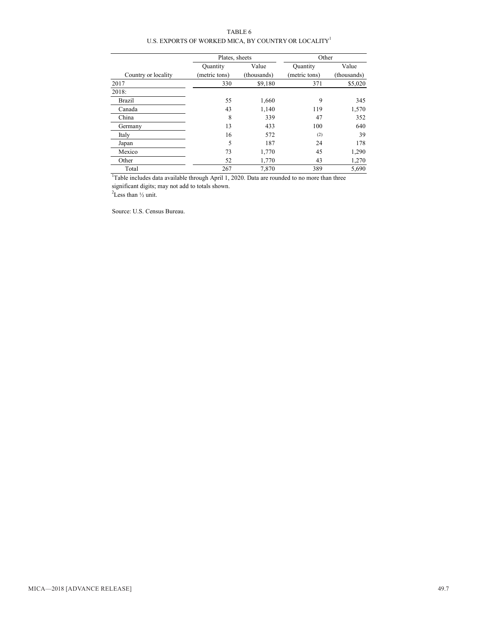TABLE 6 U.S. EXPORTS OF WORKED MICA, BY COUNTRY OR LOCALITY<sup>1</sup>

|                                                                                                          | Plates, sheets  |             | Other         |             |  |
|----------------------------------------------------------------------------------------------------------|-----------------|-------------|---------------|-------------|--|
|                                                                                                          | <b>Quantity</b> | Value       | Quantity      | Value       |  |
| Country or locality                                                                                      | (metric tons)   | (thousands) | (metric tons) | (thousands) |  |
| 2017                                                                                                     | 330             | \$9,180     | 371           | \$5,020     |  |
| 2018:                                                                                                    |                 |             |               |             |  |
| <b>Brazil</b>                                                                                            | 55              | 1,660       | 9             | 345         |  |
| Canada                                                                                                   | 43              | 1,140       | 119           | 1,570       |  |
| China                                                                                                    | 8               | 339         | 47            | 352         |  |
| Germany                                                                                                  | 13              | 433         | 100           | 640         |  |
| Italy                                                                                                    | 16              | 572         | (2)           | 39          |  |
| Japan                                                                                                    | 5               | 187         | 24            | 178         |  |
| Mexico                                                                                                   | 73              | 1,770       | 45            | 1,290       |  |
| Other                                                                                                    | 52              | 1,770       | 43            | 1,270       |  |
| Total                                                                                                    | 267             | 7.870       | 389           | 5,690       |  |
| <sup>1</sup> Table includes data available through April 1, 2020. Data are rounded to no more than three |                 |             |               |             |  |

significant digits; may not add to totals shown. 2 Less than ½ unit.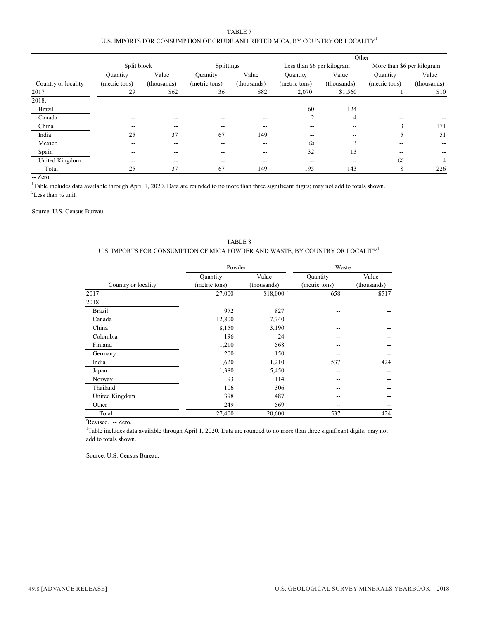#### TABLE 7 U.S. IMPORTS FOR CONSUMPTION OF CRUDE AND RIFTED MICA, BY COUNTRY OR LOCALITY<sup>1</sup>

|                     |                 |             |               | Other       |                |                            |               |                            |
|---------------------|-----------------|-------------|---------------|-------------|----------------|----------------------------|---------------|----------------------------|
|                     | Split block     |             |               | Splittings  |                | Less than \$6 per kilogram |               | More than \$6 per kilogram |
|                     | <b>Quantity</b> | Value       | Quantity      | Value       | Ouantity       | Value                      | Quantity      | Value                      |
| Country or locality | (metric tons)   | (thousands) | (metric tons) | (thousands) | (metric tons)  | (thousands)                | (metric tons) | (thousands)                |
| 2017                | 29              | \$62        | 36            | \$82        | 2,070          | \$1,560                    |               | \$10                       |
| 2018:               |                 |             |               |             |                |                            |               |                            |
| <b>Brazil</b>       | --              |             | --            | --          | 160            | 124                        | --            |                            |
| Canada              |                 |             | --            | --          | $\overline{2}$ | 4                          | $- -$         |                            |
| China               | --              |             | --            | --          | --             | --                         | ◠             | 171                        |
| India               | 25              | 37          | 67            | 149         | $- -$          | --                         |               | 51                         |
| Mexico              | --              | --          |               | --          | (2)            |                            | --            |                            |
| Spain               | --              | --          | --            | --          | 32             | 13                         | $- -$         |                            |
| United Kingdom      | $- -$           | $- -$       | --            | --          | --             | --                         | (2)           | 4                          |
| Total               | 25              | 37          | 67            | 149         | 195            | 143                        | 8             | 226                        |

-- Zero.

 $2$ Less than  $\frac{1}{2}$  unit. <sup>1</sup>Table includes data available through April 1, 2020. Data are rounded to no more than three significant digits; may not add to totals shown.

Source: U.S. Census Bureau.

|                     | Powder        |                        | Waste         |             |  |
|---------------------|---------------|------------------------|---------------|-------------|--|
|                     | Quantity      | Value                  | Quantity      | Value       |  |
| Country or locality | (metric tons) | (thousands)            | (metric tons) | (thousands) |  |
| 2017:               | 27,000        | $$18,000$ <sup>r</sup> | 658           | \$517       |  |
| 2018:               |               |                        |               |             |  |
| <b>Brazil</b>       | 972           | 827                    | --            |             |  |
| Canada              | 12,800        | 7,740                  |               |             |  |
| China               | 8,150         | 3,190                  |               |             |  |
| Colombia            | 196           | 24                     |               |             |  |
| Finland             | 1,210         | 568                    |               |             |  |
| Germany             | 200           | 150                    |               |             |  |
| India               | 1,620         | 1,210                  | 537           | 424         |  |
| Japan               | 1,380         | 5,450                  | --            |             |  |
| Norway              | 93            | 114                    |               |             |  |
| Thailand            | 106           | 306                    |               |             |  |
| United Kingdom      | 398           | 487                    |               |             |  |
| Other               | 249           | 569                    |               |             |  |
| Total               | 27,400        | 20,600                 | 537           | 424         |  |

TABLE 8 U.S. IMPORTS FOR CONSUMPTION OF MICA POWDER AND WASTE, BY COUNTRY OR LOCALITY1

<sup>r</sup>Revised. -- Zero.

1 Table includes data available through April 1, 2020. Data are rounded to no more than three significant digits; may not add to totals shown.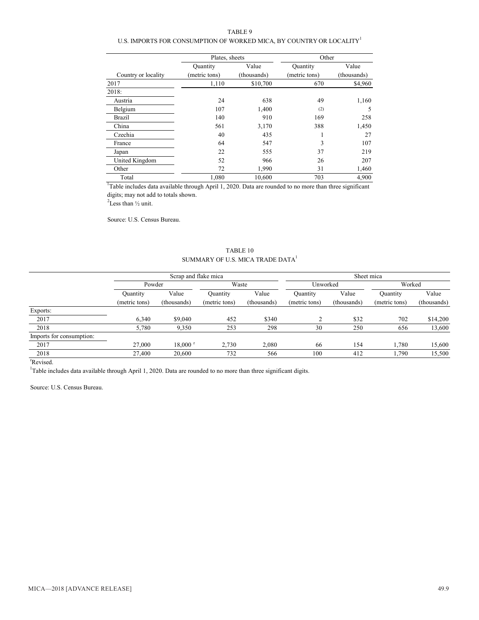TABLE 9

#### U.S. IMPORTS FOR CONSUMPTION OF WORKED MICA, BY COUNTRY OR LOCALITY<sup>1</sup>

|                     | Plates, sheets  |             | Other         |             |  |
|---------------------|-----------------|-------------|---------------|-------------|--|
|                     | <b>Quantity</b> | Value       | Quantity      | Value       |  |
| Country or locality | (metric tons)   | (thousands) | (metric tons) | (thousands) |  |
| 2017                | 1,110           | \$10,700    | 670           | \$4,960     |  |
| 2018:               |                 |             |               |             |  |
| Austria             | 24              | 638         | 49            | 1,160       |  |
| Belgium             | 107             | 1,400       | (2)           | 5           |  |
| Brazil              | 140             | 910         | 169           | 258         |  |
| China               | 561             | 3,170       | 388           | 1,450       |  |
| Czechia             | 40              | 435         | ш             | 27          |  |
| France              | 64              | 547         | 3             | 107         |  |
| Japan               | 22              | 555         | 37            | 219         |  |
| United Kingdom      | 52              | 966         | 26            | 207         |  |
| Other               | 72              | 1,990       | 31            | 1,460       |  |
| Total               | 1.080           | 10,600      | 703           | 4,900       |  |

<sup>1</sup>Table includes data available through April 1, 2020. Data are rounded to no more than three significant digits; may not add to totals shown.

 $2$ Less than  $\frac{1}{2}$  unit.

Source: U.S. Census Bureau.

#### TABLE 10 SUMMARY OF U.S. MICA TRADE  $\mathbf{DATA}^1$

|                          | Scrap and flake mica |                            |               |             | Sheet mica    |             |               |             |
|--------------------------|----------------------|----------------------------|---------------|-------------|---------------|-------------|---------------|-------------|
|                          | Powder               |                            |               | Waste       |               | Unworked    | Worked        |             |
|                          | Ouantity             | Value<br>Value<br>Quantity | Quantity      | Value       | Ouantity      | Value       |               |             |
|                          | (metric tons)        | (thousands)                | (metric tons) | (thousands) | (metric tons) | (thousands) | (metric tons) | (thousands) |
| Exports:                 |                      |                            |               |             |               |             |               |             |
| 2017                     | 6.340                | \$9,040                    | 452           | \$340       |               | \$32        | 702           | \$14,200    |
| 2018                     | 5,780                | 9,350                      | 253           | 298         | 30            | 250         | 656           | 13,600      |
| Imports for consumption: |                      |                            |               |             |               |             |               |             |
| 2017                     | 27,000               | $18,000$ <sup>r</sup>      | 2,730         | 2,080       | 66            | 154         | 1,780         | 15,600      |
| 2018                     | 27,400               | 20,600                     | 732           | 566         | 100           | 412         | 1,790         | 15,500      |
| $\mathbf{r}$             |                      |                            |               |             |               |             |               |             |

r Revised.

<sup>1</sup>Table includes data available through April 1, 2020. Data are rounded to no more than three significant digits.